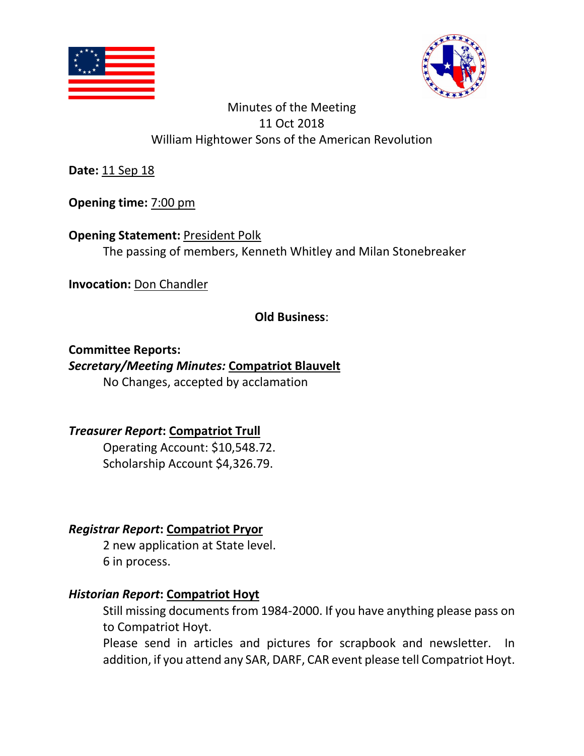



**Date:** 11 Sep 18

**Opening time:** 7:00 pm

**Opening Statement: President Polk** The passing of members, Kenneth Whitley and Milan Stonebreaker

**Invocation:** Don Chandler

**Old Business**:

**Committee Reports:** 

#### *Secretary/Meeting Minutes:* **Compatriot Blauvelt**

No Changes, accepted by acclamation

# *Treasurer Report***: Compatriot Trull**

Operating Account: \$10,548.72. Scholarship Account \$4,326.79.

# *Registrar Report***: Compatriot Pryor**

2 new application at State level. 6 in process.

# *Historian Report***: Compatriot Hoyt**

Still missing documents from 1984-2000. If you have anything please pass on to Compatriot Hoyt.

Please send in articles and pictures for scrapbook and newsletter. In addition, if you attend any SAR, DARF, CAR event please tell Compatriot Hoyt.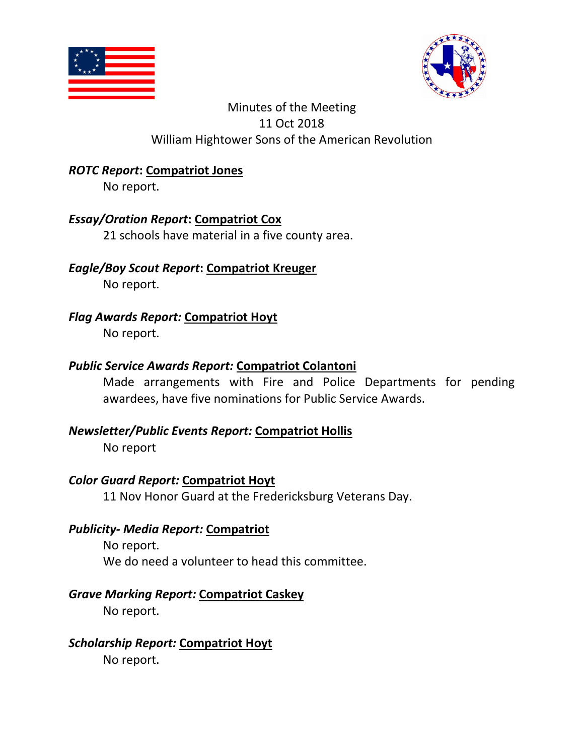



#### *ROTC Report***: Compatriot Jones**

No report.

#### *Essay/Oration Report***: Compatriot Cox**

21 schools have material in a five county area.

# *Eagle/Boy Scout Report***: Compatriot Kreuger**

No report.

*Flag Awards Report:* **Compatriot Hoyt**  No report.

#### *Public Service Awards Report:* **Compatriot Colantoni**

Made arrangements with Fire and Police Departments for pending awardees, have five nominations for Public Service Awards.

#### *Newsletter/Public Events Report:* **Compatriot Hollis**

No report

#### *Color Guard Report:* **Compatriot Hoyt**

11 Nov Honor Guard at the Fredericksburg Veterans Day.

#### *Publicity- Media Report:* **Compatriot**

No report. We do need a volunteer to head this committee.

# *Grave Marking Report:* **Compatriot Caskey**

No report.

# *Scholarship Report:* **Compatriot Hoyt**

No report.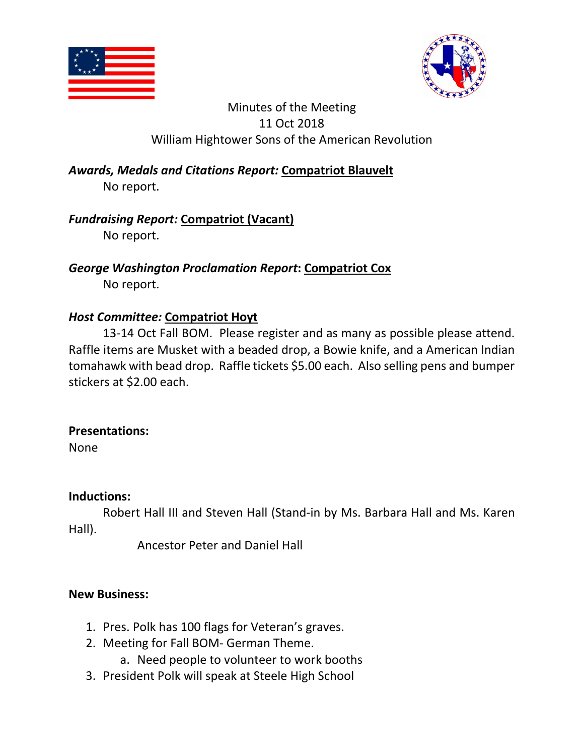



*Awards, Medals and Citations Report:* **Compatriot Blauvelt** No report.

# *Fundraising Report:* **Compatriot (Vacant)**

No report.

*George Washington Proclamation Report***: Compatriot Cox**  No report.

# *Host Committee:* **Compatriot Hoyt**

13-14 Oct Fall BOM. Please register and as many as possible please attend. Raffle items are Musket with a beaded drop, a Bowie knife, and a American Indian tomahawk with bead drop. Raffle tickets \$5.00 each. Also selling pens and bumper stickers at \$2.00 each.

# **Presentations:**

None

#### **Inductions:**

Robert Hall III and Steven Hall (Stand-in by Ms. Barbara Hall and Ms. Karen Hall).

Ancestor Peter and Daniel Hall

# **New Business:**

- 1. Pres. Polk has 100 flags for Veteran's graves.
- 2. Meeting for Fall BOM- German Theme.
	- a. Need people to volunteer to work booths
- 3. President Polk will speak at Steele High School